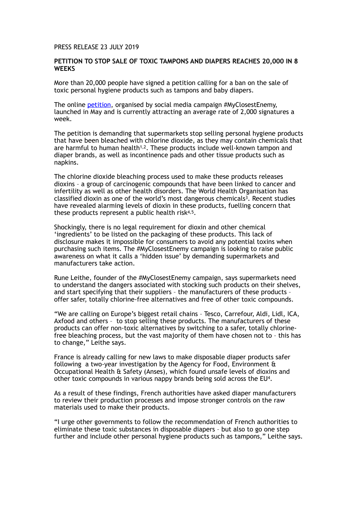## PRESS RELEASE 23 JULY 2019

## **PETITION TO STOP SALE OF TOXIC TAMPONS AND DIAPERS REACHES 20,000 IN 8 WEEKS**

More than 20,000 people have signed a petition calling for a ban on the sale of toxic personal hygiene products such as tampons and baby diapers.

The online [petition](https://www.change.org/p/stop-selling-toxic-diapers-and-tampons), organised by social media campaign #MyClosestEnemy, launched in May and is currently attracting an average rate of 2,000 signatures a week.

The petition is demanding that supermarkets stop selling personal hygiene products that have been bleached with chlorine dioxide, as they may contain chemicals that are harmful to human health<sup>1,2</sup>. These products include well-known tampon and diaper brands, as well as incontinence pads and other tissue products such as napkins.

The chlorine dioxide bleaching process used to make these products releases dioxins – a group of carcinogenic compounds that have been linked to cancer and infertility as well as other health disorders. The World Health Organisation has classified dioxin as one of the world's most dangerous chemicals<sup>3</sup>. Recent studies have revealed alarming levels of dioxin in these products, fuelling concern that these products represent a public health risk4,5.

Shockingly, there is no legal requirement for dioxin and other chemical 'ingredients' to be listed on the packaging of these products. This lack of disclosure makes it impossible for consumers to avoid any potential toxins when purchasing such items. The #MyClosestEnemy campaign is looking to raise public awareness on what it calls a 'hidden issue' by demanding supermarkets and manufacturers take action.

Rune Leithe, founder of the #MyClosestEnemy campaign, says supermarkets need to understand the dangers associated with stocking such products on their shelves, and start specifying that their suppliers – the manufacturers of these products – offer safer, totally chlorine-free alternatives and free of other toxic compounds.

"We are calling on Europe's biggest retail chains – Tesco, Carrefour, Aldi, Lidl, ICA, Axfood and others – to stop selling these products. The manufacturers of these products can offer non-toxic alternatives by switching to a safer, totally chlorinefree bleaching process, but the vast majority of them have chosen not to – this has to change," Leithe says.

France is already calling for new laws to make disposable diaper products safer following a two-year investigation by the Agency for Food, Environment & Occupational Health & Safety (Anses), which found unsafe levels of dioxins and other toxic compounds in various nappy brands being sold across the EU4.

As a result of these findings, French authorities have asked diaper manufacturers to review their production processes and impose stronger controls on the raw materials used to make their products.

"I urge other governments to follow the recommendation of French authorities to eliminate these toxic substances in disposable diapers – but also to go one step further and include other personal hygiene products such as tampons," Leithe says.